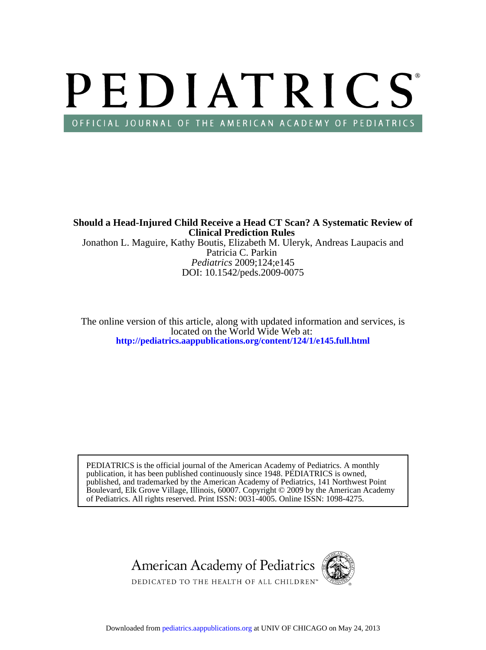# PEDIATRICS OFFICIAL JOURNAL OF THE AMERICAN ACADEMY OF PEDIATRICS

*Pediatrics* 2009;124;e145 Patricia C. Parkin Jonathon L. Maguire, Kathy Boutis, Elizabeth M. Uleryk, Andreas Laupacis and **Clinical Prediction Rules Should a Head-Injured Child Receive a Head CT Scan? A Systematic Review of**

DOI: 10.1542/peds.2009-0075

**<http://pediatrics.aappublications.org/content/124/1/e145.full.html>** located on the World Wide Web at: The online version of this article, along with updated information and services, is

of Pediatrics. All rights reserved. Print ISSN: 0031-4005. Online ISSN: 1098-4275. Boulevard, Elk Grove Village, Illinois, 60007. Copyright © 2009 by the American Academy published, and trademarked by the American Academy of Pediatrics, 141 Northwest Point publication, it has been published continuously since 1948. PEDIATRICS is owned, PEDIATRICS is the official journal of the American Academy of Pediatrics. A monthly

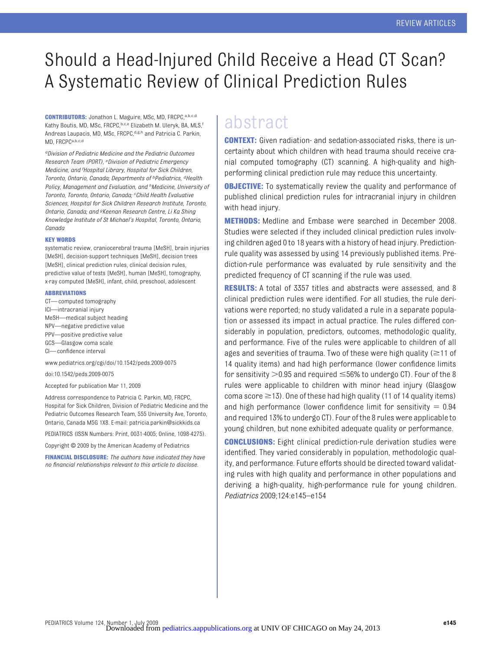# Should a Head-Injured Child Receive a Head CT Scan? A Systematic Review of Clinical Prediction Rules

**CONTRIBUTORS:** Jonathon L. Maguire, MSc, MD, FRCPC,a,b,c,d Kathy Boutis, MD, MSc, FRCPC, b,c,e Elizabeth M. Uleryk, BA, MLS, f Andreas Laupacis, MD, MSc, FRCPC, d,g,h and Patricia C. Parkin, MD, FRCPCa,b,c,d

*aDivision of Pediatric Medicine and the Pediatric Outcomes Research Team (PORT), <sup>e</sup> Division of Pediatric Emergency Medicine, and <sup>f</sup> Hospital Library, Hospital for Sick Children, Toronto, Ontario, Canada; Departments of bPediatrics, dHealth Policy, Management and Evaluation, and hMedicine, University of Toronto, Toronto, Ontario, Canada; <sup>c</sup> Child Health Evaluative Sciences, Hospital for Sick Children Research Institute, Toronto, Ontario, Canada; and gKeenan Research Centre, Li Ka Shing Knowledge Institute of St Michael's Hospital, Toronto, Ontario, Canada*

#### **KEY WORDS**

systematic review, craniocerebral trauma [MeSH], brain injuries [MeSH], decision-support techniques [MeSH], decision trees [MeSH], clinical prediction rules, clinical decision rules predictive value of tests [MeSH], human [MeSH], tomography, x-ray computed [MeSH], infant, child, preschool, adolescent

#### **ABBREVIATIONS**

CT— computed tomography ICI—intracranial injury MeSH—medical subject heading NPV—negative predictive value PPV—positive predictive value GCS—Glasgow coma scale CI— confidence interval www.pediatrics.org/cgi/doi/10.1542/peds.2009-0075

doi:10.1542/peds.2009-0075

Accepted for publication Mar 11, 2009

Address correspondence to Patricia C. Parkin, MD, FRCPC, Hospital for Sick Children, Division of Pediatric Medicine and the Pediatric Outcomes Research Team, 555 University Ave, Toronto, Ontario, Canada M5G 1X8. E-mail: patricia.parkin@sickkids.ca

PEDIATRICS (ISSN Numbers: Print, 0031-4005; Online, 1098-4275).

Copyright © 2009 by the American Academy of Pediatrics

**FINANCIAL DISCLOSURE:** *The authors have indicated they have no financial relationships relevant to this article to disclose.*

# abstract

**CONTEXT:** Given radiation- and sedation-associated risks, there is uncertainty about which children with head trauma should receive cranial computed tomography (CT) scanning. A high-quality and highperforming clinical prediction rule may reduce this uncertainty.

**OBJECTIVE:** To systematically review the quality and performance of published clinical prediction rules for intracranial injury in children with head injury.

**METHODS:** Medline and Embase were searched in December 2008. Studies were selected if they included clinical prediction rules involving children aged 0 to 18 years with a history of head injury. Predictionrule quality was assessed by using 14 previously published items. Prediction-rule performance was evaluated by rule sensitivity and the predicted frequency of CT scanning if the rule was used.

**RESULTS:** A total of 3357 titles and abstracts were assessed, and 8 clinical prediction rules were identified. For all studies, the rule derivations were reported; no study validated a rule in a separate population or assessed its impact in actual practice. The rules differed considerably in population, predictors, outcomes, methodologic quality, and performance. Five of the rules were applicable to children of all ages and severities of trauma. Two of these were high quality ( $\geq$ 11 of 14 quality items) and had high performance (lower confidence limits for sensitivity  $>$  0.95 and required  $\leq$  56% to undergo CT). Four of the 8 rules were applicable to children with minor head injury (Glasgow coma score  $\geq$  13). One of these had high quality (11 of 14 quality items) and high performance (lower confidence limit for sensitivity  $= 0.94$ and required 13% to undergo CT). Four of the 8 rules were applicable to young children, but none exhibited adequate quality or performance.

**CONCLUSIONS:** Eight clinical prediction-rule derivation studies were identified. They varied considerably in population, methodologic quality, and performance. Future efforts should be directed toward validating rules with high quality and performance in other populations and deriving a high-quality, high-performance rule for young children. *Pediatrics* 2009;124:e145–e154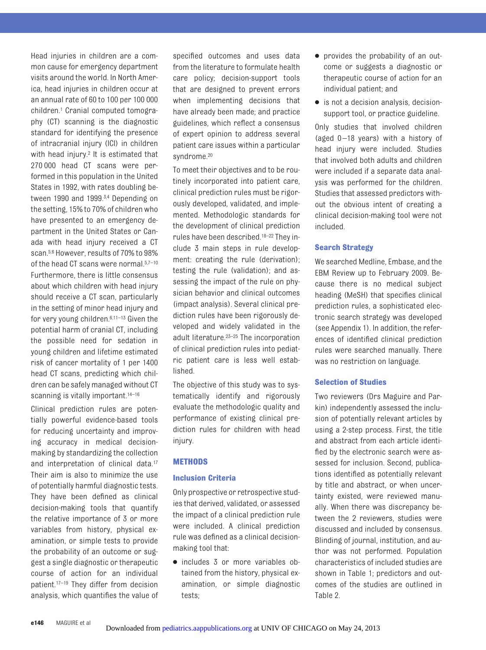Head injuries in children are a common cause for emergency department visits around the world. In North America, head injuries in children occur at an annual rate of 60 to 100 per 100 000 children.1 Cranial computed tomography (CT) scanning is the diagnostic standard for identifying the presence of intracranial injury (ICI) in children with head injury.<sup>2</sup> It is estimated that 270 000 head CT scans were performed in this population in the United States in 1992, with rates doubling between 1990 and 1999.<sup>3,4</sup> Depending on the setting, 15% to 70% of children who have presented to an emergency department in the United States or Canada with head injury received a CT scan.5,6 However, results of 70% to 98% of the head CT scans were normal.<sup>5,7-10</sup> Furthermore, there is little consensus about which children with head injury should receive a CT scan, particularly in the setting of minor head injury and for very young children.6,11–13 Given the potential harm of cranial CT, including the possible need for sedation in young children and lifetime estimated risk of cancer mortality of 1 per 1400 head CT scans, predicting which children can be safely managed without CT scanning is vitally important.<sup>14-16</sup>

Clinical prediction rules are potentially powerful evidence-based tools for reducing uncertainty and improving accuracy in medical decisionmaking by standardizing the collection and interpretation of clinical data.17 Their aim is also to minimize the use of potentially harmful diagnostic tests. They have been defined as clinical decision-making tools that quantify the relative importance of 3 or more variables from history, physical examination, or simple tests to provide the probability of an outcome or suggest a single diagnostic or therapeutic course of action for an individual patient.17–19 They differ from decision analysis, which quantifies the value of specified outcomes and uses data from the literature to formulate health care policy; decision-support tools that are designed to prevent errors when implementing decisions that have already been made; and practice guidelines, which reflect a consensus of expert opinion to address several patient care issues within a particular syndrome.20

To meet their objectives and to be routinely incorporated into patient care, clinical prediction rules must be rigorously developed, validated, and implemented. Methodologic standards for the development of clinical prediction rules have been described.18–22 They include 3 main steps in rule development: creating the rule (derivation); testing the rule (validation); and assessing the impact of the rule on physician behavior and clinical outcomes (impact analysis). Several clinical prediction rules have been rigorously developed and widely validated in the adult literature.23–25 The incorporation of clinical prediction rules into pediatric patient care is less well established.

The objective of this study was to systematically identify and rigorously evaluate the methodologic quality and performance of existing clinical prediction rules for children with head injury.

# **METHODS**

# **Inclusion Criteria**

Only prospective or retrospective studies that derived, validated, or assessed the impact of a clinical prediction rule were included. A clinical prediction rule was defined as a clinical decisionmaking tool that:

● includes 3 or more variables obtained from the history, physical examination, or simple diagnostic tests;

- provides the probability of an outcome or suggests a diagnostic or therapeutic course of action for an individual patient; and
- is not a decision analysis, decisionsupport tool, or practice guideline.

Only studies that involved children (aged  $0-18$  years) with a history of head injury were included. Studies that involved both adults and children were included if a separate data analysis was performed for the children. Studies that assessed predictors without the obvious intent of creating a clinical decision-making tool were not included.

# **Search Strategy**

We searched Medline, Embase, and the EBM Review up to February 2009. Because there is no medical subject heading (MeSH) that specifies clinical prediction rules, a sophisticated electronic search strategy was developed (see Appendix 1). In addition, the references of identified clinical prediction rules were searched manually. There was no restriction on language.

# **Selection of Studies**

Two reviewers (Drs Maguire and Parkin) independently assessed the inclusion of potentially relevant articles by using a 2-step process. First, the title and abstract from each article identified by the electronic search were assessed for inclusion. Second, publications identified as potentially relevant by title and abstract, or when uncertainty existed, were reviewed manually. When there was discrepancy between the 2 reviewers, studies were discussed and included by consensus. Blinding of journal, institution, and author was not performed. Population characteristics of included studies are shown in Table 1; predictors and outcomes of the studies are outlined in Table 2.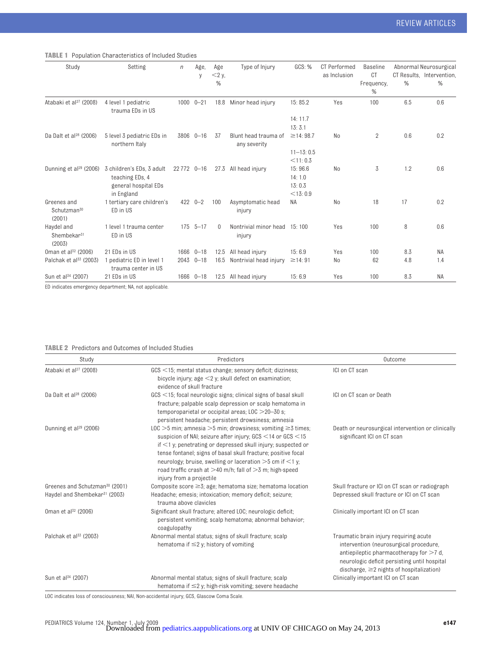**TABLE 1** Population Characteristics of Included Studies

| Study                                            | Setting                                                                            | $\eta$      | Age,<br>y       | Age<br>$<$ 2 y, | Type of Injury                         | GCS: %                                    | CT Performed<br>as Inclusion | <b>Baseline</b><br>CT |               | Abnormal Neurosurgical<br>CT Results, Intervention, |
|--------------------------------------------------|------------------------------------------------------------------------------------|-------------|-----------------|-----------------|----------------------------------------|-------------------------------------------|------------------------------|-----------------------|---------------|-----------------------------------------------------|
|                                                  |                                                                                    |             |                 | %               |                                        |                                           |                              | Frequency,<br>%       | $\frac{0}{0}$ | %                                                   |
| Atabaki et al <sup>27</sup> (2008)               | 4 level 1 pediatric<br>trauma EDs in US                                            |             | $1000$ $0 - 21$ | 18.8            | Minor head injury                      | 15:85.2                                   | Yes                          | 100                   | 6.5           | 0.6                                                 |
|                                                  |                                                                                    |             |                 |                 |                                        | 14:11.7<br>13:3.1                         |                              |                       |               |                                                     |
| Da Dalt et al $^{28}$ (2006)                     | 5 level 3 pediatric EDs in<br>northern Italy                                       |             | 3806 0-16       | 37              | Blunt head trauma of<br>any severity   | $\geq$ 14: 98.7                           | N <sub>o</sub>               | $\overline{2}$        | 0.6           | 0.2                                                 |
|                                                  |                                                                                    |             |                 |                 |                                        | $11 - 13:0.5$<br>$<$ 11:0.3               |                              |                       |               |                                                     |
| Dunning et $al^{29}$ (2006)                      | 3 children's EDs, 3 adult<br>teaching EDs, 4<br>general hospital EDs<br>in England | 22 772 0-16 |                 | 27.3            | All head injury                        | 15:96.6<br>14:1.0<br>13:0.3<br>$<$ 13:0.9 | N <sub>o</sub>               | 3                     | 1.2           | 0.6                                                 |
| Greenes and<br>Schutzman <sup>30</sup><br>(2001) | 1 tertiary care children's<br>ED in US                                             |             | $422$ $0 - 2$   | 100             | Asymptomatic head<br>injury            | NA                                        | N <sub>0</sub>               | 18                    | 17            | 0.2                                                 |
| Haydel and<br>Shembekar <sup>31</sup><br>(2003)  | 1 level 1 trauma center<br>ED in US                                                | 175         | $5 - 17$        | $\Omega$        | Nontrivial minor head 15:100<br>injury |                                           | Yes                          | 100                   | 8             | 0.6                                                 |
| 0man et al <sup>32</sup> (2006)                  | 21 EDs in US                                                                       |             | 1666 0-18       | 12.5            | All head injury                        | 15:6.9                                    | Yes                          | 100                   | 8.3           | <b>NA</b>                                           |
| Palchak et al <sup>33</sup> (2003)               | 1 pediatric ED in level 1<br>trauma center in US                                   |             | 2043 0-18       | 16.5            | Nontrivial head injury                 | $\geq$ 14:91                              | No                           | 62                    | 4.8           | 1.4                                                 |
| Sun et al <sup>34</sup> (2007)                   | 21 EDs in US                                                                       |             | 1666 0-18       | 12.5            | All head injury                        | 15:6.9                                    | Yes                          | 100                   | 8.3           | <b>NA</b>                                           |

ED indicates emergency department; NA, not applicable.

#### **TABLE 2** Predictors and Outcomes of Included Studies

| Study                                                                                   | Predictors                                                                                                                                                                                                                                                                                                                                                                                                                                 | Outcome                                                                                                                                                                                                                         |
|-----------------------------------------------------------------------------------------|--------------------------------------------------------------------------------------------------------------------------------------------------------------------------------------------------------------------------------------------------------------------------------------------------------------------------------------------------------------------------------------------------------------------------------------------|---------------------------------------------------------------------------------------------------------------------------------------------------------------------------------------------------------------------------------|
| Atabaki et al <sup>27</sup> (2008)                                                      | $GCS \leq 15$ ; mental status change; sensory deficit; dizziness;<br>bicycle injury; age $\leq$ 2 y; skull defect on examination;<br>evidence of skull fracture                                                                                                                                                                                                                                                                            | ICI on CT scan                                                                                                                                                                                                                  |
| Da Dalt et al <sup>28</sup> (2006)                                                      | $GCS \leq 15$ ; focal neurologic signs; clinical signs of basal skull<br>fracture; palpable scalp depression or scalp hematoma in<br>temporoparietal or occipital areas; $LOC > 20-30$ s;<br>persistent headache; persistent drowsiness; amnesia                                                                                                                                                                                           | ICI on CT scan or Death                                                                                                                                                                                                         |
| Dunning et $a^{29}$ (2006)                                                              | LOC $>5$ min; amnesia $>5$ min; drowsiness; vomiting $\geq$ 5 times;<br>suspicion of NAI; seizure after injury; $GCS < 14$ or $GCS < 15$<br>if $\leq$ 1 y; penetrating or depressed skull injury; suspected or<br>tense fontanel; signs of basal skull fracture; positive focal<br>neurology; bruise, swelling or laceration $>5$ cm if $<1$ y;<br>road traffic crash at $>40$ m/h; fall of $>3$ m; high-speed<br>injury from a projectile | Death or neurosurgical intervention or clinically<br>significant ICI on CT scan                                                                                                                                                 |
| Greenes and Schutzman <sup>30</sup> (2001)<br>Haydel and Shembekar <sup>31</sup> (2003) | Composite score $\geq$ 3; age; hematoma size; hematoma location<br>Headache; emesis; intoxication; memory deficit; seizure;<br>trauma above clavicles                                                                                                                                                                                                                                                                                      | Skull fracture or ICI on CT scan or radiograph<br>Depressed skull fracture or ICI on CT scan                                                                                                                                    |
| 0man et al <sup>32</sup> (2006)                                                         | Significant skull fracture; altered LOC; neurologic deficit;<br>persistent vomiting; scalp hematoma; abnormal behavior;<br>coagulopathy                                                                                                                                                                                                                                                                                                    | Clinically important ICI on CT scan                                                                                                                                                                                             |
| Palchak et al <sup>33</sup> (2003)                                                      | Abnormal mental status; signs of skull fracture; scalp<br>hematoma if $\leq$ 2 y; history of vomiting                                                                                                                                                                                                                                                                                                                                      | Traumatic brain injury requiring acute<br>intervention (neurosurgical procedure,<br>antiepileptic pharmacotherapy for $>7$ d,<br>neurologic deficit persisting until hospital<br>discharge, $\geq$ 2 nights of hospitalization) |
| Sun et al <sup>34</sup> (2007)                                                          | Abnormal mental status; signs of skull fracture; scalp<br>hematoma if $\leq$ 2 y; high-risk vomiting; severe headache                                                                                                                                                                                                                                                                                                                      | Clinically important ICI on CT scan                                                                                                                                                                                             |

LOC indicates loss of consciousness; NAI, Non-accidental injury; GCS, Glascow Coma Scale.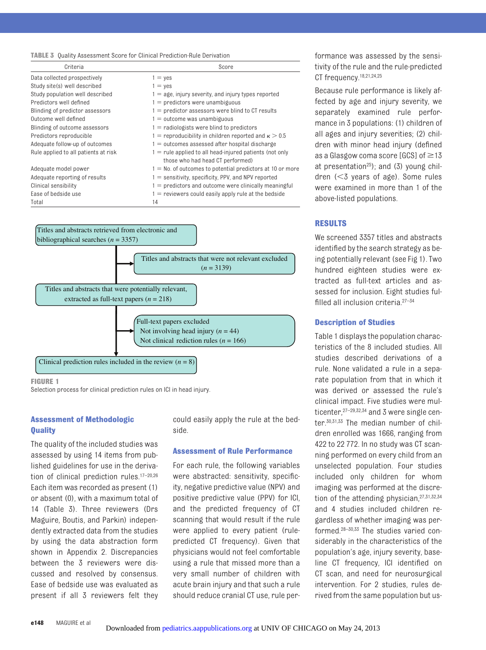#### **TABLE 3** Quality Assessment Score for Clinical Prediction-Rule Derivation

| Criteria                             | Score                                                                                         |
|--------------------------------------|-----------------------------------------------------------------------------------------------|
| Data collected prospectively         | $1 = \text{ves}$                                                                              |
| Study site(s) well described         | $1 = yes$                                                                                     |
| Study population well described      | $1 = a$ ge, injury severity, and injury types reported                                        |
| Predictors well defined              | $1 =$ predictors were unambiguous                                                             |
| Blinding of predictor assessors      | $1 =$ predictor assessors were blind to CT results                                            |
| Outcome well defined                 | $1 =$ outcome was unambiguous                                                                 |
| Blinding of outcome assessors        | $1 =$ radiologists were blind to predictors                                                   |
| Predictors reproducible              | 1 = reproducibility in children reported and $\kappa > 0.5$                                   |
| Adequate follow-up of outcomes       | $1 =$ outcomes assessed after hospital discharge                                              |
| Rule applied to all patients at risk | $1$ = rule applied to all head-injured patients (not only<br>those who had head CT performed) |
| Adequate model power                 | $1 =$ No. of outcomes to potential predictors at 10 or more                                   |
| Adequate reporting of results        | $1 =$ sensitivity, specificity, PPV, and NPV reported                                         |
| Clinical sensibility                 | $1 =$ predictors and outcome were clinically meaningful                                       |
| Ease of bedside use                  | $1$ = reviewers could easily apply rule at the bedside                                        |
| Total                                | 14                                                                                            |



**FIGURE 1**

Selection process for clinical prediction rules on ICI in head injury.

#### **Assessment of Methodologic Quality**

The quality of the included studies was assessed by using 14 items from published guidelines for use in the derivation of clinical prediction rules.17–20,26 Each item was recorded as present (1) or absent (0), with a maximum total of 14 (Table 3). Three reviewers (Drs Maguire, Boutis, and Parkin) independently extracted data from the studies by using the data abstraction form shown in Appendix 2. Discrepancies between the 3 reviewers were discussed and resolved by consensus. Ease of bedside use was evaluated as present if all 3 reviewers felt they

could easily apply the rule at the bedside.

#### **Assessment of Rule Performance**

For each rule, the following variables were abstracted: sensitivity, specificity, negative predictive value (NPV) and positive predictive value (PPV) for ICI, and the predicted frequency of CT scanning that would result if the rule were applied to every patient (rulepredicted CT frequency). Given that physicians would not feel comfortable using a rule that missed more than a very small number of children with acute brain injury and that such a rule should reduce cranial CT use, rule performance was assessed by the sensitivity of the rule and the rule-predicted CT frequency.<sup>18,21,24,25</sup>

Because rule performance is likely affected by age and injury severity, we separately examined rule performance in 3 populations: (1) children of all ages and injury severities; (2) children with minor head injury (defined as a Glasgow coma score [GCS] of  $\geq$ 13 at presentation<sup>25</sup>); and  $(3)$  young children  $( $3$  years of age)$ . Some rules were examined in more than 1 of the above-listed populations.

#### **RESULTS**

We screened 3357 titles and abstracts identified by the search strategy as being potentially relevant (see Fig 1). Two hundred eighteen studies were extracted as full-text articles and assessed for inclusion. Eight studies fulfilled all inclusion criteria.27–34

#### **Description of Studies**

Table 1 displays the population characteristics of the 8 included studies. All studies described derivations of a rule. None validated a rule in a separate population from that in which it was derived or assessed the rule's clinical impact. Five studies were multicenter, 27-29, 32, 34 and 3 were single center.30,31,33 The median number of children enrolled was 1666, ranging from 422 to 22 772. In no study was CT scanning performed on every child from an unselected population. Four studies included only children for whom imaging was performed at the discretion of the attending physician, 27,31,32,34 and 4 studies included children regardless of whether imaging was performed.28–30,33 The studies varied considerably in the characteristics of the population's age, injury severity, baseline CT frequency, ICI identified on CT scan, and need for neurosurgical intervention. For 2 studies, rules derived from the same population but us-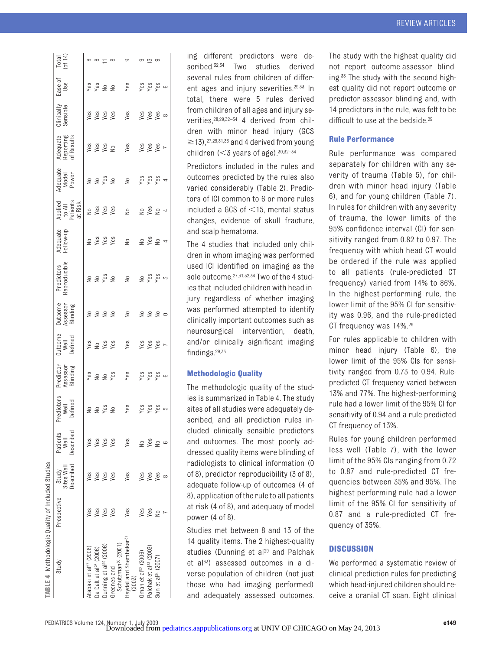| ABLE 4 Methodologic Quality of Included Studies |             |                                  |                               |                              |                                                                                                                                                           |                            |                                  |                            |                       |                                          |                            |                                                                                                                                                                                                                                                                                                                                                                                                                                          |                        |                |                            |
|-------------------------------------------------|-------------|----------------------------------|-------------------------------|------------------------------|-----------------------------------------------------------------------------------------------------------------------------------------------------------|----------------------------|----------------------------------|----------------------------|-----------------------|------------------------------------------|----------------------------|------------------------------------------------------------------------------------------------------------------------------------------------------------------------------------------------------------------------------------------------------------------------------------------------------------------------------------------------------------------------------------------------------------------------------------------|------------------------|----------------|----------------------------|
| Study                                           | Prospective | Jescribed<br>Sites Well<br>Study | Described<br>Patients<br>Well | "edictors<br>Well<br>Defined | Predictor<br>Assessor<br>Blinding                                                                                                                         | Outcome<br>Well<br>Defined | Jutcome<br>Assess or<br>Blinding | Predictors<br>Reproducible | Adequate<br>Follow-up | Applied<br>to All<br>Patients<br>at Risk | Adequate<br>Model<br>Power | Adequate<br>Reporting<br>of Results                                                                                                                                                                                                                                                                                                                                                                                                      | Clinically<br>Sensible | Ease of<br>Use | Total<br>of $14$ )         |
| tabaki et al <sup>27</sup> (2008)               | Yes         | Yes                              | Yes                           |                              |                                                                                                                                                           |                            |                                  |                            |                       |                                          |                            |                                                                                                                                                                                                                                                                                                                                                                                                                                          |                        |                |                            |
| a Dalt et al <sup>28</sup> (2006)               | Yes         | Yes                              | Yes                           |                              |                                                                                                                                                           |                            |                                  |                            |                       |                                          |                            |                                                                                                                                                                                                                                                                                                                                                                                                                                          |                        |                |                            |
| unning et al <sup>29</sup> (2006)               | Yes         | Yes                              | Yes                           |                              |                                                                                                                                                           |                            |                                  |                            | <b>Ness</b><br>Yes    |                                          |                            |                                                                                                                                                                                                                                                                                                                                                                                                                                          |                        |                | $\infty$ $\infty$ $\infty$ |
| Schutzman <sup>30</sup> (2001)<br>Greenes and   | Yes         | Yes                              | Yes                           |                              |                                                                                                                                                           | Yes<br>Yes<br>Yes<br>Yes   |                                  |                            |                       |                                          |                            |                                                                                                                                                                                                                                                                                                                                                                                                                                          |                        |                |                            |
| laydel and Shembekar <sup>51</sup><br>(2003)    | Yes         | Yes                              | Yes                           | $2222222222232333333333$     | $\begin{array}{ccc}\n\text{Yes} & \text{Yes} & \text{Yes} \\ \text{Yes} & \text{Yes} & \text{Yes} \\ \text{Yes} & \text{Yes} & \text{Yes} \\ \end{array}$ |                            | 2222 2 2220                      | 228222288                  | 22.8824               | $2 \times 2 \times 2$<br>2 2 2 2 2 2 4   | 22222222222                | $\begin{array}{ccccc} \mathbf{y} & \mathbf{y} & \mathbf{y} & \mathbf{y} & \mathbf{y} \\ \mathbf{y} & \mathbf{y} & \mathbf{y} & \mathbf{y} & \mathbf{y} \\ \mathbf{y} & \mathbf{y} & \mathbf{y} & \mathbf{y} & \mathbf{y} \\ \mathbf{y} & \mathbf{y} & \mathbf{y} & \mathbf{y} & \mathbf{y} \\ \mathbf{y} & \mathbf{y} & \mathbf{y} & \mathbf{y} & \mathbf{y} \\ \mathbf{y} & \mathbf{y} & \mathbf{y} & \mathbf{y} & \mathbf{y} \\ \math$ |                        |                | ာ                          |
| Iman et al $^{32}$ (2006)                       | Yes         | Yes                              | $\geq$                        |                              |                                                                                                                                                           |                            |                                  |                            |                       |                                          |                            |                                                                                                                                                                                                                                                                                                                                                                                                                                          |                        |                |                            |
| Palchak et al <sup>33</sup> (2003)              | Yes         | Yes                              | Yes                           |                              |                                                                                                                                                           |                            |                                  |                            |                       |                                          |                            |                                                                                                                                                                                                                                                                                                                                                                                                                                          |                        |                | _ െ പ് വ                   |
| Sun et al <sup>34</sup> (2007)                  | $\tilde{z}$ | Yes                              | $\geq$                        |                              |                                                                                                                                                           | Yes<br>Yes<br>Yes          |                                  |                            |                       |                                          |                            |                                                                                                                                                                                                                                                                                                                                                                                                                                          |                        |                |                            |
|                                                 |             |                                  | G                             |                              |                                                                                                                                                           |                            |                                  |                            |                       |                                          |                            |                                                                                                                                                                                                                                                                                                                                                                                                                                          |                        |                |                            |
|                                                 |             |                                  |                               |                              |                                                                                                                                                           |                            |                                  |                            |                       |                                          |                            |                                                                                                                                                                                                                                                                                                                                                                                                                                          |                        |                |                            |

ing different predictors were described.<sup>32,34</sup> Two studies derived several rules from children of different ages and injury severities.29,33 In total, there were 5 rules derived from children of all ages and injury severities,28,29,32–34 4 derived from children with minor head injury (GCS  $\geq$ 13),<sup>27,29,31,33</sup> and 4 derived from young children  $(<$ 3 years of age). $30,32-34$ 

Predictors included in the rules and outcomes predicted by the rules also varied considerably (Table 2). Predictors of ICI common to 6 or more rules included a GCS of  $\leq$ 15, mental status changes, evidence of skull fracture, and scalp hematoma.

The 4 studies that included only children in whom imaging was performed used ICI identified on imaging as the sole outcome.27,31,32,34 Two of the 4 studies that included children with head injury regardless of whether imaging was performed attempted to identify clinically important outcomes such as neurosurgical intervention, death, and/or clinically significant imaging findings.29,33

### **Methodologic Quality**

The methodologic quality of the studies is summarized in Table 4. The study sites of all studies were adequately described, and all prediction rules included clinically sensible predictors and outcomes. The most poorly addressed quality items were blinding of radiologists to clinical information (0 of 8), predictor reproducibility (3 of 8), adequate follow-up of outcomes (4 of 8), application of the rule to all patients at risk (4 of 8), and adequacy of model power (4 of 8).

Studies met between 8 and 13 of the 14 quality items. The 2 highest-quality studies (Dunning et al<sup>29</sup> and Palchak et al<sup>33</sup>) assessed outcomes in a diverse population of children (not just those who had imaging performed) and adequately assessed outcomes.

The study with the highest quality did not report outcome-assessor blinding.33 The study with the second highest quality did not report outcome or predictor-assessor blinding and, with 14 predictors in the rule, was felt to be difficult to use at the bedside.<sup>29</sup>

# **Rule Performance**

Rule performance was compared separately for children with any severity of trauma (Table 5), for children with minor head injury (Table 6), and for young children (Table 7). In rules for children with any severity of trauma, the lower limits of the 95% confidence interval (CI) for sensitivity ranged from 0.82 to 0.97. The frequency with which head CT would be ordered if the rule was applied to all patients (rule-predicted CT frequency) varied from 14% to 86%. In the highest-performing rule, the lower limit of the 95% CI for sensitivity was 0.96, and the rule-predicted CT frequency was 14%.29

For rules applicable to children with minor head injury (Table 6), the lower limit of the 95% CIs for sensitivity ranged from 0.73 to 0.94. Rulepredicted CT frequency varied between 13% and 77%. The highest-performing rule had a lower limit of the 95% CI for sensitivity of 0.94 and a rule-predicted CT frequency of 13%.

Rules for young children performed less well (Table 7), with the lower limit of the 95% CIs ranging from 0.72 to 0.87 and rule-predicted CT frequencies between 35% and 95%. The highest-performing rule had a lower limit of the 95% CI for sensitivity of 0.87 and a rule-predicted CT frequency of 35%.

# **DISCUSSION**

We performed a systematic review of clinical prediction rules for predicting which head-injured children should receive a cranial CT scan. Eight clinical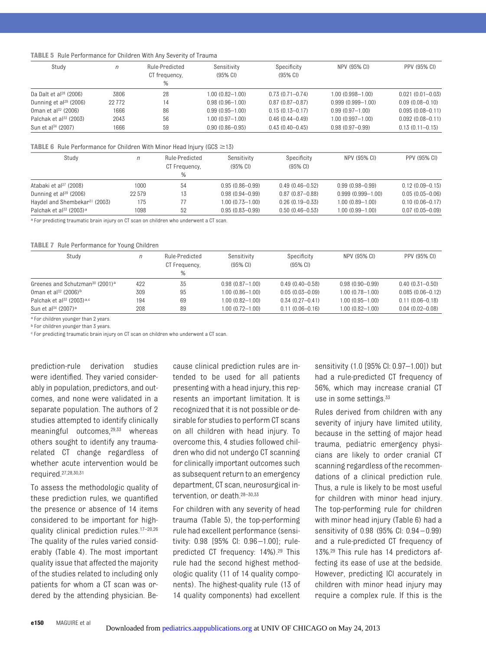#### **TABLE 5** Rule Performance for Children With Any Severity of Trauma

| Study                              | n        | Rule-Predicted<br>CT frequency,<br>% | Sensitivity<br>$(95\% \text{ Cl})$ | Specificity<br>$(95\% \, \text{Cl})$ | NPV (95% CI)          | PPV (95% CI)         |
|------------------------------------|----------|--------------------------------------|------------------------------------|--------------------------------------|-----------------------|----------------------|
| Da Dalt et al $^{28}$ (2006)       | 3806     | 28                                   | 1.00 (0.82—1.00)                   | $0.73(0.71 - 0.74)$                  | 1.00 (0.998-1.00)     | $0.021(0.01 - 0.03)$ |
| Dunning et al <sup>29</sup> (2006) | 22 7 7 2 | 14                                   | $0.98(0.96 - 1.00)$                | $0.87(0.87-0.87)$                    | $0.999(0.999 - 1.00)$ | $0.09(0.08 - 0.10)$  |
| 0man et al <sup>32</sup> (2006)    | 1666     | 86                                   | $0.99(0.95 - 1.00)$                | $0.15(0.13 - 0.17)$                  | $0.99(0.97 - 1.00)$   | $0.095(0.08 - 0.11)$ |
| Palchak et al <sup>33</sup> (2003) | 2043     | 56                                   | 1.00 (0.97—1.00)                   | $0.46(0.44 - 0.49)$                  | 1.00 (0.997-1.00)     | $0.092(0.08 - 0.11)$ |
| Sun et al <sup>34</sup> (2007)     | 1666     | 59                                   | $0.90(0.86 - 0.95)$                | $0.43(0.40 - 0.45)$                  | $0.98(0.97 - 0.99)$   | $0.13(0.11 - 0.15)$  |

#### **TABLE 6** Rule Performance for Children With Minor Head Injury (GCS  $\geq$ 13)

| Study                                           | n      | Rule-Predicted<br>CT Frequency,<br>% | Sensitivity<br>$(95\% \text{ Cl})$ | Specificity<br>$(95% \text{ Cl})$ | NPV (95% CI)          | PPV (95% CI)        |
|-------------------------------------------------|--------|--------------------------------------|------------------------------------|-----------------------------------|-----------------------|---------------------|
| Atabaki et al <sup>27</sup> (2008)              | 1000   | 54                                   | $0.95(0.86 - 0.99)$                | $0.49(0.46 - 0.52)$               | $0.99(0.98 - 0.99)$   | $0.12(0.09 - 0.15)$ |
| Dunning et $a^{29}$ (2006)                      | 22 579 | 13                                   | $0.98(0.94 - 0.99)$                | $0.87(0.87 - 0.88)$               | $0.999(0.999 - 1.00)$ | $0.05(0.05 - 0.06)$ |
| Haydel and Shembekar <sup>31</sup> (2003)       | 175    |                                      | $1.00(0.73 - 1.00)$                | $0.26(0.19 - 0.33)$               | $1.00(0.89 - 1.00)$   | $0.10(0.06 - 0.17)$ |
| Palchak et al <sup>33</sup> (2003) <sup>a</sup> | 1098   | 52                                   | $0.95(0.83 - 0.99)$                | $0.50(0.46 - 0.53)$               | $1.00(0.99 - 1.00)$   | $0.07(0.05 - 0.09)$ |

a For predicting traumatic brain injury on CT scan on children who underwent a CT scan.

#### **TABLE 7** Rule Performance for Young Children

| Study                                                   | n   | Rule-Predicted<br>CT Frequency,<br>$\%$ | Sensitivity<br>$(95% \, \text{Cl})$ | Specificity<br>$(95\% \, \text{Cl})$ | NPV (95% CI)        | PPV (95% CI)         |
|---------------------------------------------------------|-----|-----------------------------------------|-------------------------------------|--------------------------------------|---------------------|----------------------|
| Greenes and Schutzman <sup>30</sup> (2001) <sup>a</sup> | 422 | 35                                      | $0.98(0.87 - 1.00)$                 | $0.49(0.40 - 0.58)$                  | $0.98(0.90 - 0.99)$ | $0.40(0.31 - 0.50)$  |
| 0man et al <sup>32</sup> (2006) <sup>b</sup>            | 309 | 95                                      | $1.00(0.86 - 1.00)$                 | $0.05(0.03 - 0.09)$                  | $1.00(0.78 - 1.00)$ | $0.085(0.06 - 0.12)$ |
| Palchak et al <sup>33</sup> (2003) <sup>a,c</sup>       | 194 | 69                                      | $1.00(0.82 - 1.00)$                 | $0.34(0.27 - 0.41)$                  | $1.00(0.95 - 1.00)$ | $0.11(0.06 - 0.18)$  |
| Sun et al <sup>34</sup> (2007) <sup>a</sup>             | 208 | 89                                      | $1.00(0.72 - 1.00)$                 | $0.11(0.06 - 0.16)$                  | $1.00(0.82 - 1.00)$ | $0.04(0.02 - 0.08)$  |

a For children younger than 2 years.

**b** For children younger than 3 years.

c For predicting traumatic brain injury on CT scan on children who underwent a CT scan.

prediction-rule derivation studies were identified. They varied considerably in population, predictors, and outcomes, and none were validated in a separate population. The authors of 2 studies attempted to identify clinically meaningful outcomes,29,33 whereas others sought to identify any traumarelated CT change regardless of whether acute intervention would be required.27,28,30,31

To assess the methodologic quality of these prediction rules, we quantified the presence or absence of 14 items considered to be important for highquality clinical prediction rules.17–20,26 The quality of the rules varied considerably (Table 4). The most important quality issue that affected the majority of the studies related to including only patients for whom a CT scan was ordered by the attending physician. Because clinical prediction rules are intended to be used for all patients presenting with a head injury, this represents an important limitation. It is recognized that it is not possible or desirable for studies to perform CT scans on all children with head injury. To overcome this, 4 studies followed children who did not undergo CT scanning for clinically important outcomes such as subsequent return to an emergency department, CT scan, neurosurgical intervention, or death.28–30,33

For children with any severity of head trauma (Table 5), the top-performing rule had excellent performance (sensitivity: 0.98 [95% CI: 0.96 –1.00]; rulepredicted CT frequency: 14%).29 This rule had the second highest methodologic quality (11 of 14 quality components). The highest-quality rule (13 of 14 quality components) had excellent

sensitivity (1.0 [95% CI: 0.97–1.00]) but had a rule-predicted CT frequency of 56%, which may increase cranial CT use in some settings.<sup>33</sup>

Rules derived from children with any severity of injury have limited utility, because in the setting of major head trauma, pediatric emergency physicians are likely to order cranial CT scanning regardless of the recommendations of a clinical prediction rule. Thus, a rule is likely to be most useful for children with minor head injury. The top-performing rule for children with minor head injury (Table 6) had a sensitivity of 0.98 (95% CI: 0.94 – 0.99) and a rule-predicted CT frequency of 13%.29 This rule has 14 predictors affecting its ease of use at the bedside. However, predicting ICI accurately in children with minor head injury may require a complex rule. If this is the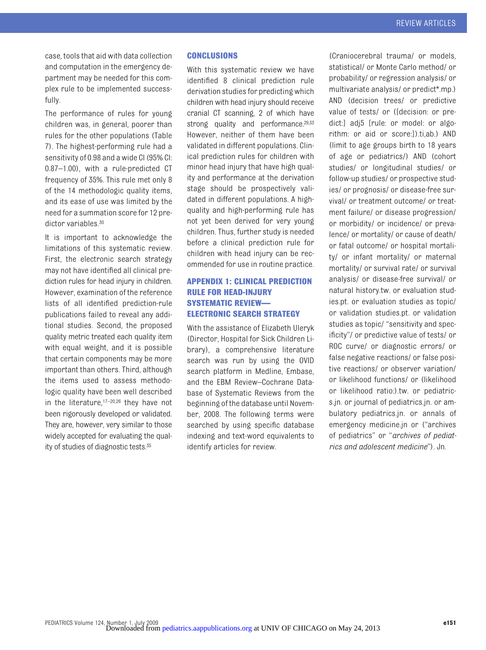case, tools that aid with data collection and computation in the emergency department may be needed for this complex rule to be implemented successfully.

The performance of rules for young children was, in general, poorer than rules for the other populations (Table 7). The highest-performing rule had a sensitivity of 0.98 and a wide CI (95% CI: 0.87–1.00), with a rule-predicted CT frequency of 35%. This rule met only 8 of the 14 methodologic quality items, and its ease of use was limited by the need for a summation score for 12 predictor variables  $30$ 

It is important to acknowledge the limitations of this systematic review. First, the electronic search strategy may not have identified all clinical prediction rules for head injury in children. However, examination of the reference lists of all identified prediction-rule publications failed to reveal any additional studies. Second, the proposed quality metric treated each quality item with equal weight, and it is possible that certain components may be more important than others. Third, although the items used to assess methodologic quality have been well described in the literature, $17-20.26$  they have not been rigorously developed or validated. They are, however, very similar to those widely accepted for evaluating the quality of studies of diagnostic tests.35

# **CONCLUSIONS**

With this systematic review we have identified 8 clinical prediction rule derivation studies for predicting which children with head injury should receive cranial CT scanning, 2 of which have strong quality and performance.<sup>29,33</sup> However, neither of them have been validated in different populations. Clinical prediction rules for children with minor head injury that have high quality and performance at the derivation stage should be prospectively validated in different populations. A highquality and high-performing rule has not yet been derived for very young children. Thus, further study is needed before a clinical prediction rule for children with head injury can be recommended for use in routine practice.

# **APPENDIX 1: CLINICAL PREDICTION RULE FOR HEAD-INJURY SYSTEMATIC REVIEW— ELECTRONIC SEARCH STRATEGY**

With the assistance of Elizabeth Uleryk (Director, Hospital for Sick Children Library), a comprehensive literature search was run by using the OVID search platform in Medline, Embase, and the EBM Review–Cochrane Database of Systematic Reviews from the beginning of the database until November, 2008. The following terms were searched by using specific database indexing and text-word equivalents to identify articles for review.

(Craniocerebral trauma/ or models, statistical/ or Monte Carlo method/ or probability/ or regression analysis/ or multivariate analysis/ or predict\*.mp.) AND (decision trees/ or predictive value of tests/ or ([decision: or predict:] adj5 [rule: or model: or algorithm: or aid or score:]).ti,ab.) AND (limit to age groups birth to 18 years of age or pediatrics/) AND (cohort studies/ or longitudinal studies/ or follow-up studies/ or prospective studies/ or prognosis/ or disease-free survival/ or treatment outcome/ or treatment failure/ or disease progression/ or morbidity/ or incidence/ or prevalence/ or mortality/ or cause of death/ or fatal outcome/ or hospital mortality/ or infant mortality/ or maternal mortality/ or survival rate/ or survival analysis/ or disease-free survival/ or natural history.tw. or evaluation studies.pt. or evaluation studies as topic/ or validation studies.pt. or validation studies as topic/ "sensitivity and specificity"/ or predictive value of tests/ or ROC curve/ or diagnostic errors/ or false negative reactions/ or false positive reactions/ or observer variation/ or likelihood functions/ or (likelihood or likelihood ratio:).tw. or pediatrics.jn. or journal of pediatrics.jn. or ambulatory pediatrics.jn. or annals of emergency medicine.jn or ("archives of pediatrics" or "*archives of pediatrics and adolescent medicine*"). Jn.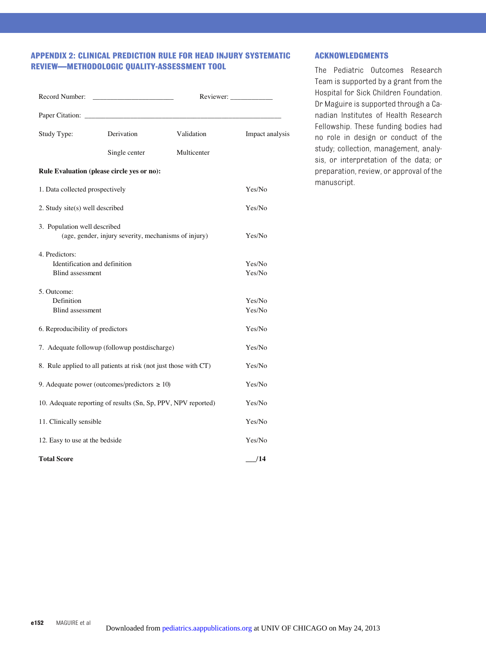# **APPENDIX 2: CLINICAL PREDICTION RULE FOR HEAD INJURY SYSTEMATIC REVIEW—METHODOLOGIC QUALITY-ASSESSMENT TOOL**

|                                                                            |                                                               |             | Reviewer:       |  |  |
|----------------------------------------------------------------------------|---------------------------------------------------------------|-------------|-----------------|--|--|
|                                                                            |                                                               |             |                 |  |  |
| Study Type:                                                                | Derivation                                                    | Validation  | Impact analysis |  |  |
|                                                                            | Single center                                                 | Multicenter |                 |  |  |
|                                                                            | Rule Evaluation (please circle yes or no):                    |             |                 |  |  |
| 1. Data collected prospectively                                            |                                                               |             | Yes/No          |  |  |
| 2. Study site(s) well described                                            |                                                               |             | Yes/No          |  |  |
| 3. Population well described                                               |                                                               |             |                 |  |  |
|                                                                            | (age, gender, injury severity, mechanisms of injury)          |             | Yes/No          |  |  |
| 4. Predictors:                                                             |                                                               |             |                 |  |  |
| Identification and definition                                              |                                                               |             | Yes/No          |  |  |
| <b>Blind assessment</b>                                                    |                                                               |             | Yes/No          |  |  |
| 5. Outcome:                                                                |                                                               |             |                 |  |  |
| Definition                                                                 |                                                               | Yes/No      |                 |  |  |
| <b>Blind</b> assessment<br>Yes/No                                          |                                                               |             |                 |  |  |
| 6. Reproducibility of predictors                                           | Yes/No                                                        |             |                 |  |  |
| 7. Adequate followup (followup postdischarge)                              | Yes/No                                                        |             |                 |  |  |
| 8. Rule applied to all patients at risk (not just those with CT)<br>Yes/No |                                                               |             |                 |  |  |
|                                                                            | 9. Adequate power (outcomes/predictors $\geq 10$ )            |             | Yes/No          |  |  |
|                                                                            | 10. Adequate reporting of results (Sn, Sp, PPV, NPV reported) |             | Yes/No          |  |  |
| 11. Clinically sensible                                                    |                                                               |             | Yes/No          |  |  |
| 12. Easy to use at the bedside                                             |                                                               |             | Yes/No          |  |  |
| <b>Total Score</b><br>/14                                                  |                                                               |             |                 |  |  |

# **ACKNOWLEDGMENTS**

The Pediatric Outcomes Research Team is supported by a grant from the Hospital for Sick Children Foundation. Dr Maguire is supported through a Canadian Institutes of Health Research Fellowship. These funding bodies had no role in design or conduct of the study; collection, management, analysis, or interpretation of the data; or preparation, review, or approval of the manuscript.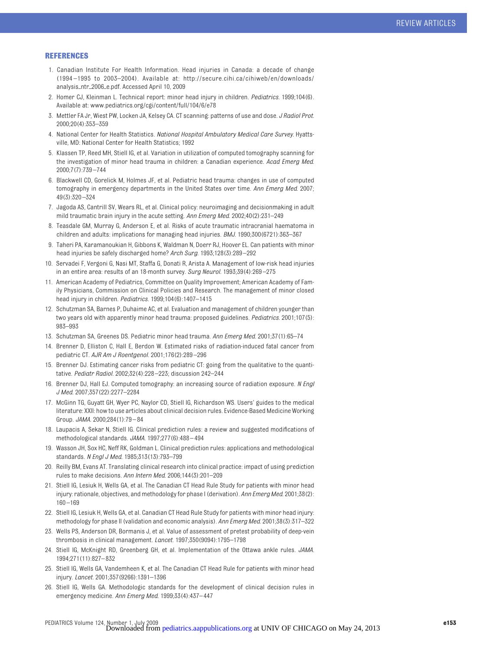#### **REFERENCES**

- 1. Canadian Institute For Health Information. Head injuries in Canada: a decade of change (1994 –1995 to 2003–2004). Available at: http://secure.cihi.ca/cihiweb/en/downloads/ analysis-ntr-2006-e.pdf. Accessed April 10, 2009
- 2. Homer CJ, Kleinman L. Technical report: minor head injury in children. *Pediatrics.* 1999;104(6). Available at: www.pediatrics.org/cgi/content/full/104/6/e78
- 3. Mettler FA Jr, Wiest PW, Locken JA, Kelsey CA. CT scanning: patterns of use and dose. *J Radiol Prot.* 2000;20(4):353–359
- 4. National Center for Health Statistics. *National Hospital Ambulatory Medical Care Survey*. Hyattsville, MD: National Center for Health Statistics; 1992
- 5. Klassen TP, Reed MH, Stiell IG, et al. Variation in utilization of computed tomography scanning for the investigation of minor head trauma in children: a Canadian experience. *Acad Emerg Med.* 2000;7(7):739 –744
- 6. Blackwell CD, Gorelick M, Holmes JF, et al. Pediatric head trauma: changes in use of computed tomography in emergency departments in the United States over time. *Ann Emerg Med.* 2007; 49(3):320 –324
- 7. Jagoda AS, Cantrill SV, Wears RL, et al. Clinical policy: neuroimaging and decisionmaking in adult mild traumatic brain injury in the acute setting. *Ann Emerg Med.* 2002;40(2):231–249
- 8. Teasdale GM, Murray G, Anderson E, et al. Risks of acute traumatic intracranial haematoma in children and adults: implications for managing head injuries. *BMJ.* 1990;300(6721):363–367
- 9. Taheri PA, Karamanoukian H, Gibbons K, Waldman N, Doerr RJ, Hoover EL. Can patients with minor head injuries be safely discharged home? *Arch Surg.* 1993;128(3):289 –292
- 10. Servadei F, Vergoni G, Nasi MT, Staffa G, Donati R, Arista A. Management of low-risk head injuries in an entire area: results of an 18-month survey. *Surg Neurol.* 1993;39(4):269 –275
- 11. American Academy of Pediatrics, Committee on Quality Improvement; American Academy of Family Physicians, Commission on Clinical Policies and Research. The management of minor closed head injury in children. *Pediatrics.* 1999;104(6):1407–1415
- 12. Schutzman SA, Barnes P, Duhaime AC, et al. Evaluation and management of children younger than two years old with apparently minor head trauma: proposed guidelines. *Pediatrics.* 2001;107(5): 983–993
- 13. Schutzman SA, Greenes DS. Pediatric minor head trauma. *Ann Emerg Med.* 2001;37(1):65–74
- 14. Brenner D, Elliston C, Hall E, Berdon W. Estimated risks of radiation-induced fatal cancer from pediatric CT. *AJR Am J Roentgenol.* 2001;176(2):289 –296
- 15. Brenner DJ. Estimating cancer risks from pediatric CT: going from the qualitative to the quantitative. *Pediatr Radiol.* 2002;32(4):228 –223; discussion 242–244
- 16. Brenner DJ, Hall EJ. Computed tomography: an increasing source of radiation exposure. *N Engl J Med.* 2007;357(22):2277–2284
- 17. McGinn TG, Guyatt GH, Wyer PC, Naylor CD, Stiell IG, Richardson WS. Users' guides to the medical literature: XXII: how to use articles about clinical decision rules. Evidence-Based Medicine Working Group. *JAMA.* 2000;284(1):79 – 84
- 18. Laupacis A, Sekar N, Stiell IG. Clinical prediction rules: a review and suggested modifications of methodological standards. *JAMA.* 1997;277(6):488 – 494
- 19. Wasson JH, Sox HC, Neff RK, Goldman L. Clinical prediction rules: applications and methodological standards. *N Engl J Med.* 1985;313(13):793–799
- 20. Reilly BM, Evans AT. Translating clinical research into clinical practice: impact of using prediction rules to make decisions. *Ann Intern Med.* 2006;144(3):201–209
- 21. Stiell IG, Lesiuk H, Wells GA, et al. The Canadian CT Head Rule Study for patients with minor head injury: rationale, objectives, and methodology for phase I (derivation). *Ann Emerg Med.* 2001;38(2): 160 –169
- 22. Stiell IG, Lesiuk H, Wells GA, et al. Canadian CT Head Rule Study for patients with minor head injury: methodology for phase II (validation and economic analysis). *Ann Emerg Med.* 2001;38(3):317–322
- 23. Wells PS, Anderson DR, Bormanis J, et al. Value of assessment of pretest probability of deep-vein thrombosis in clinical management. *Lancet.* 1997;350(9094):1795–1798
- 24. Stiell IG, McKnight RD, Greenberg GH, et al. Implementation of the Ottawa ankle rules. *JAMA.* 1994;271(11):827– 832
- 25. Stiell IG, Wells GA, Vandemheen K, et al. The Canadian CT Head Rule for patients with minor head injury. *Lancet.* 2001;357(9266):1391–1396
- 26. Stiell IG, Wells GA. Methodologic standards for the development of clinical decision rules in emergency medicine. *Ann Emerg Med.* 1999;33(4):437– 447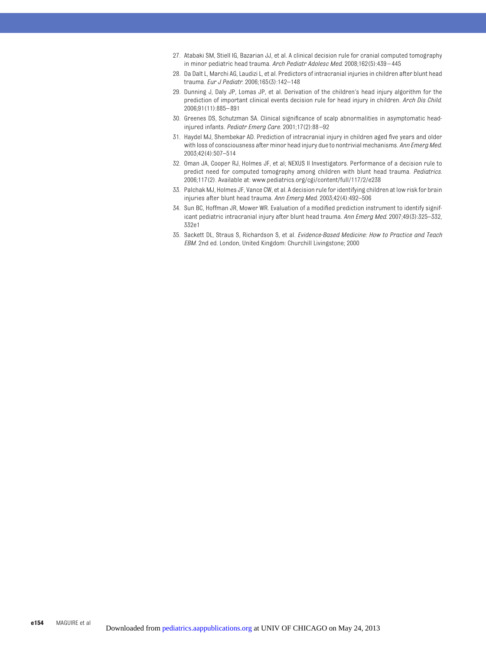- 27. Atabaki SM, Stiell IG, Bazarian JJ, et al. A clinical decision rule for cranial computed tomography in minor pediatric head trauma. *Arch Pediatr Adolesc Med.* 2008;162(5):439 – 445
- 28. Da Dalt L, Marchi AG, Laudizi L, et al. Predictors of intracranial injuries in children after blunt head trauma. *Eur J Pediatr.* 2006;165(3):142–148
- 29. Dunning J, Daly JP, Lomas JP, et al. Derivation of the children's head injury algorithm for the prediction of important clinical events decision rule for head injury in children. *Arch Dis Child.* 2006;91(11):885– 891
- 30. Greenes DS, Schutzman SA. Clinical significance of scalp abnormalities in asymptomatic headinjured infants. *Pediatr Emerg Care.* 2001;17(2):88 –92
- 31. Haydel MJ, Shembekar AD. Prediction of intracranial injury in children aged five years and older with loss of consciousness after minor head injury due to nontrivial mechanisms. *Ann Emerg Med.* 2003;42(4):507–514
- 32. Oman JA, Cooper RJ, Holmes JF, et al; NEXUS II Investigators. Performance of a decision rule to predict need for computed tomography among children with blunt head trauma. *Pediatrics.* 2006;117(2). Available at: www.pediatrics.org/cgi/content/full/117/2/e238
- 33. Palchak MJ, Holmes JF, Vance CW, et al. A decision rule for identifying children at low risk for brain injuries after blunt head trauma. *Ann Emerg Med.* 2003;42(4):492–506
- 34. Sun BC, Hoffman JR, Mower WR. Evaluation of a modified prediction instrument to identify significant pediatric intracranial injury after blunt head trauma. *Ann Emerg Med.* 2007;49(3):325–332, 332e1
- 35. Sackett DL, Straus S, Richardson S, et al. *Evidence-Based Medicine: How to Practice and Teach EBM*. 2nd ed. London, United Kingdom: Churchill Livingstone; 2000